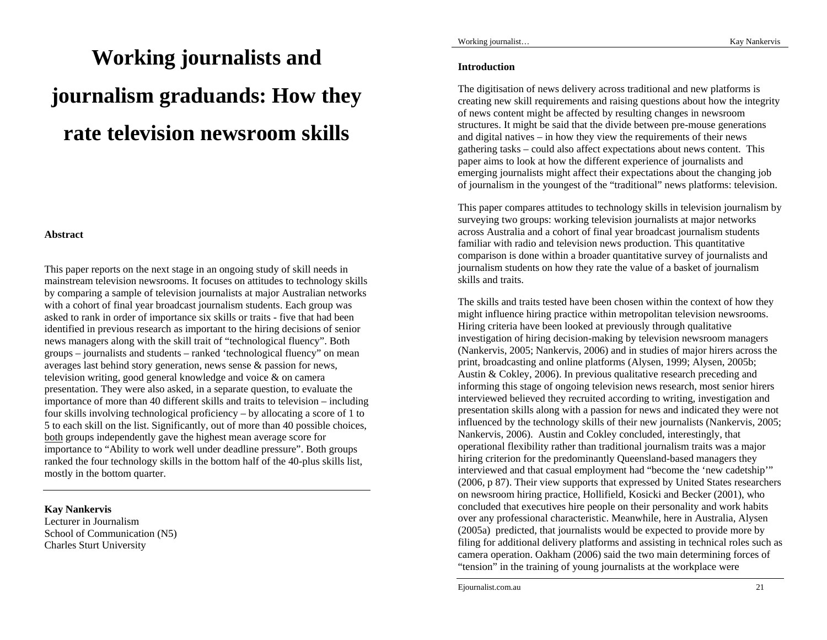# **Working journalists and journalism graduands: How they rate television newsroom skills**

## **Abstract**

This paper reports on the next stage in an ongoing study of skill needs in mainstream television newsrooms. It focuses on attitudes to technology skills by comparing a sample of television journalists at major Australian networks with a cohort of final year broadcast journalism students. Each group was asked to rank in order of importance six skills or traits - five that had been identified in previous research as important to the hiring decisions of senior news managers along with the skill trait of "technological fluency". Both groups – journalists and students – ranked 'technological fluency" on mean averages last behind story generation, news sense & passion for news, television writing, good general knowledge and voice & on camera presentation. They were also asked, in a separate question, to evaluate the importance of more than 40 different skills and traits to television – including four skills involving technological proficiency – by allocating a score of 1 to 5 to each skill on the list. Significantly, out of more than 40 possible choices, both groups independently gave the highest mean average score for importance to "Ability to work well under deadline pressure". Both groups ranked the four technology skills in the bottom half of the 40-plus skills list, mostly in the bottom quarter.

#### **Kay Nankervis**

Lecturer in Journalism School of Communication (N5) Charles Sturt University

### **Introduction**

The digitisation of news delivery across traditional and new platforms is creating new skill requirements and raising questions about how the integrity of news content might be affected by resulting changes in newsroom structures. It might be said that the divide between pre-mouse generations and digital natives – in how they view the requirements of their news gathering tasks *–* could also affect expectations about news content. This paper aims to look at how the different experience of journalists and emerging journalists might affect their expectations about the changing job of journalism in the youngest of the "traditional" news platforms: television.

This paper compares attitudes to technology skills in television journalism by surveying two groups: working television journalists at major networks across Australia and a cohort of final year broadcast journalism students familiar with radio and television news production. This quantitative comparison is done within a broader quantitative survey of journalists and journalism students on how they rate the value of a basket of journalism skills and traits.

The skills and traits tested have been chosen within the context of how they might influence hiring practice within metropolitan television newsrooms. Hiring criteria have been looked at previously through qualitative investigation of hiring decision-making by television newsroom managers (Nankervis, 2005; Nankervis, 2006) and in studies of major hirers across the print, broadcasting and online platforms (Alysen, 1999; Alysen, 2005b; Austin & Cokley, 2006). In previous qualitative research preceding and informing this stage of ongoing television news research, most senior hirers interviewed believed they recruited according to writing, investigation and presentation skills along with a passion for news and indicated they were not influenced by the technology skills of their new journalists (Nankervis, 2005; Nankervis, 2006). Austin and Cokley concluded, interestingly, that operational flexibility rather than traditional journalism traits was a major hiring criterion for the predominantly Queensland-based managers they interviewed and that casual employment had "become the 'new cadetship'" (2006, p 87). Their view supports that expressed by United States researchers on newsroom hiring practice, Hollifield, Kosicki and Becker (2001), who concluded that executives hire people on their personality and work habits over any professional characteristic. Meanwhile, here in Australia, Alysen (2005a) predicted, that journalists would be expected to provide more by filing for additional delivery platforms and assisting in technical roles such as camera operation. Oakham (2006) said the two main determining forces of "tension" in the training of young journalists at the workplace were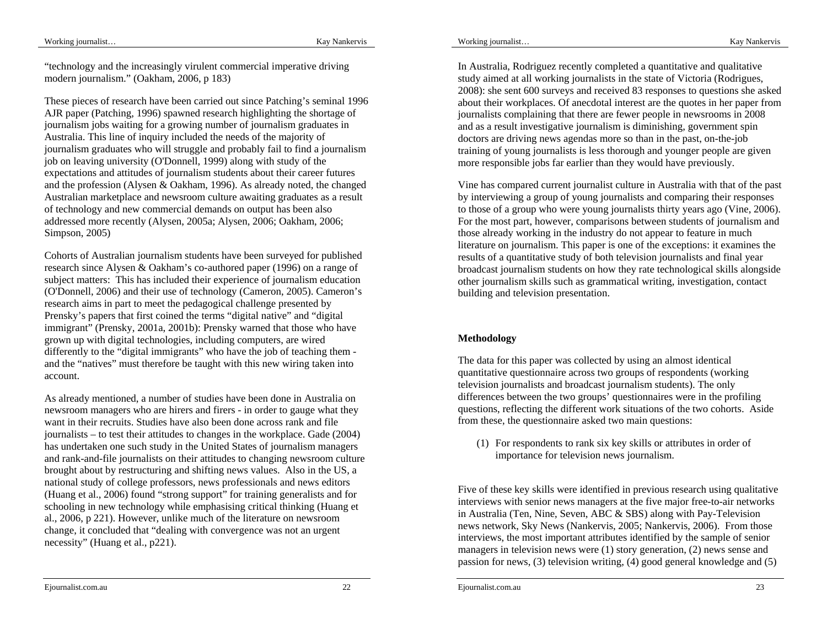"technology and the increasingly virulent commercial imperative driving modern journalism." (Oakham, 2006, p 183)

These pieces of research have been carried out since Patching's seminal 1996 AJR paper (Patching, 1996) spawned research highlighting the shortage of journalism jobs waiting for a growing number of journalism graduates in Australia. This line of inquiry included the needs of the majority of journalism graduates who will struggle and probably fail to find a journalism job on leaving university (O'Donnell, 1999) along with study of the expectations and attitudes of journalism students about their career futures and the profession (Alysen & Oakham, 1996). As already noted, the changed Australian marketplace and newsroom culture awaiting graduates as a result of technology and new commercial demands on output has been also addressed more recently (Alysen, 2005a; Alysen, 2006; Oakham, 2006; Simpson, 2005)

Cohorts of Australian journalism students have been surveyed for published research since Alysen & Oakham's co-authored paper (1996) on a range of subject matters: This has included their experience of journalism education (O'Donnell, 2006) and their use of technology (Cameron, 2005). Cameron's research aims in part to meet the pedagogical challenge presented by Prensky's papers that first coined the terms "digital native" and "digital immigrant" (Prensky, 2001a, 2001b): Prensky warned that those who have grown up with digital technologies, including computers, are wired differently to the "digital immigrants" who have the job of teaching them and the "natives" must therefore be taught with this new wiring taken into account.

As already mentioned, a number of studies have been done in Australia on newsroom managers who are hirers and firers - in order to gauge what they want in their recruits. Studies have also been done across rank and file journalists – to test their attitudes to changes in the workplace. Gade (2004) has undertaken one such study in the United States of journalism managers and rank-and-file journalists on their attitudes to changing newsroom culture brought about by restructuring and shifting news values. Also in the US, a national study of college professors, news professionals and news editors (Huang et al., 2006) found "strong support" for training generalists and for schooling in new technology while emphasising critical thinking (Huang et al., 2006, p 221). However, unlike much of the literature on newsroom change, it concluded that "dealing with convergence was not an urgent necessity" (Huang et al., p221).

In Australia, Rodriguez recently completed a quantitative and qualitative study aimed at all working journalists in the state of Victoria (Rodrigues, 2008): she sent 600 surveys and received 83 responses to questions she asked about their workplaces. Of anecdotal interest are the quotes in her paper from journalists complaining that there are fewer people in newsrooms in 2008 and as a result investigative journalism is diminishing, government spin doctors are driving news agendas more so than in the past, on-the-job training of young journalists is less thorough and younger people are given more responsible jobs far earlier than they would have previously.

Vine has compared current journalist culture in Australia with that of the past by interviewing a group of young journalists and comparing their responses to those of a group who were young journalists thirty years ago (Vine, 2006). For the most part, however, comparisons between students of journalism and those already working in the industry do not appear to feature in much literature on journalism. This paper is one of the exceptions: it examines the results of a quantitative study of both television journalists and final year broadcast journalism students on how they rate technological skills alongside other journalism skills such as grammatical writing, investigation, contact building and television presentation.

# **Methodology**

The data for this paper was collected by using an almost identical quantitative questionnaire across two groups of respondents (working television journalists and broadcast journalism students). The only differences between the two groups' questionnaires were in the profiling questions, reflecting the different work situations of the two cohorts. Aside from these, the questionnaire asked two main questions:

(1) For respondents to rank six key skills or attributes in order of importance for television news journalism.

Five of these key skills were identified in previous research using qualitative interviews with senior news managers at the five major free-to-air networks in Australia (Ten, Nine, Seven, ABC & SBS) along with Pay-Television news network, Sky News (Nankervis, 2005; Nankervis, 2006). From those interviews, the most important attributes identified by the sample of senior managers in television news were (1) story generation, (2) news sense and passion for news, (3) television writing, (4) good general knowledge and (5)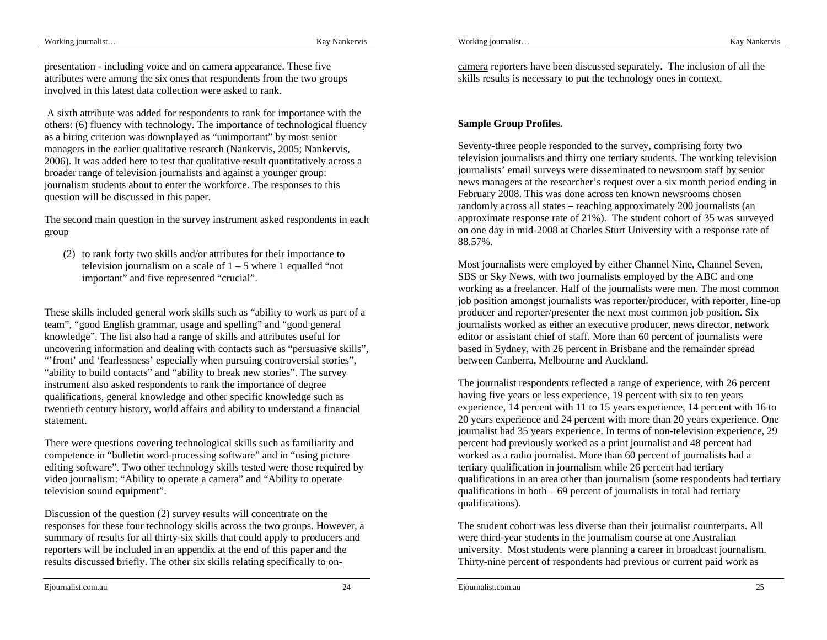Working journalist…

presentation - including voice and on camera appearance. These five attributes were among the six ones that respondents from the two groups involved in this latest data collection were asked to rank.

 A sixth attribute was added for respondents to rank for importance with the others: (6) fluency with technology. The importance of technological fluency as a hiring criterion was downplayed as "unimportant" by most senior managers in the earlier qualitative research (Nankervis, 2005; Nankervis, 2006). It was added here to test that qualitative result quantitatively across a broader range of television journalists and against a younger group: journalism students about to enter the workforce. The responses to this question will be discussed in this paper.

The second main question in the survey instrument asked respondents in each group

(2) to rank forty two skills and/or attributes for their importance to television journalism on a scale of  $1 - 5$  where 1 equalled "not important" and five represented "crucial".

These skills included general work skills such as "ability to work as part of a team", "good English grammar, usage and spelling" and "good general knowledge". The list also had a range of skills and attributes useful for uncovering information and dealing with contacts such as "persuasive skills", "'front' and 'fearlessness' especially when pursuing controversial stories", "ability to build contacts" and "ability to break new stories". The survey instrument also asked respondents to rank the importance of degree qualifications, general knowledge and other specific knowledge such as twentieth century history, world affairs and ability to understand a financial statement.

There were questions covering technological skills such as familiarity and competence in "bulletin word-processing software" and in "using picture editing software". Two other technology skills tested were those required by video journalism: "Ability to operate a camera" and "Ability to operate television sound equipment".

Discussion of the question (2) survey results will concentrate on the responses for these four technology skills across the two groups. However, a summary of results for all thirty-six skills that could apply to producers and reporters will be included in an appendix at the end of this paper and the results discussed briefly. The other six skills relating specifically to oncamera reporters have been discussed separately. The inclusion of all the skills results is necessary to put the technology ones in context.

# **Sample Group Profiles.**

Seventy-three people responded to the survey, comprising forty two television journalists and thirty one tertiary students. The working television journalists' email surveys were disseminated to newsroom staff by senior news managers at the researcher's request over a six month period ending in February 2008. This was done across ten known newsrooms chosen randomly across all states – reaching approximately 200 journalists (an approximate response rate of 21%). The student cohort of 35 was surveyed on one day in mid-2008 at Charles Sturt University with a response rate of 88.57%.

Most journalists were employed by either Channel Nine, Channel Seven, SBS or Sky News, with two journalists employed by the ABC and one working as a freelancer. Half of the journalists were men. The most common job position amongst journalists was reporter/producer, with reporter, line-up producer and reporter/presenter the next most common job position. Six journalists worked as either an executive producer, news director, network editor or assistant chief of staff. More than 60 percent of journalists were based in Sydney, with 26 percent in Brisbane and the remainder spread between Canberra, Melbourne and Auckland.

The journalist respondents reflected a range of experience, with 26 percent having five years or less experience, 19 percent with six to ten years experience, 14 percent with 11 to 15 years experience, 14 percent with 16 to 20 years experience and 24 percent with more than 20 years experience. One journalist had 35 years experience. In terms of non-television experience, 29 percent had previously worked as a print journalist and 48 percent had worked as a radio journalist. More than 60 percent of journalists had a tertiary qualification in journalism while 26 percent had tertiary qualifications in an area other than journalism (some respondents had tertiary qualifications in both  $-69$  percent of journalists in total had tertiary qualifications).

The student cohort was less diverse than their journalist counterparts. All were third-year students in the journalism course at one Australian university. Most students were planning a career in broadcast journalism. Thirty-nine percent of respondents had previous or current paid work as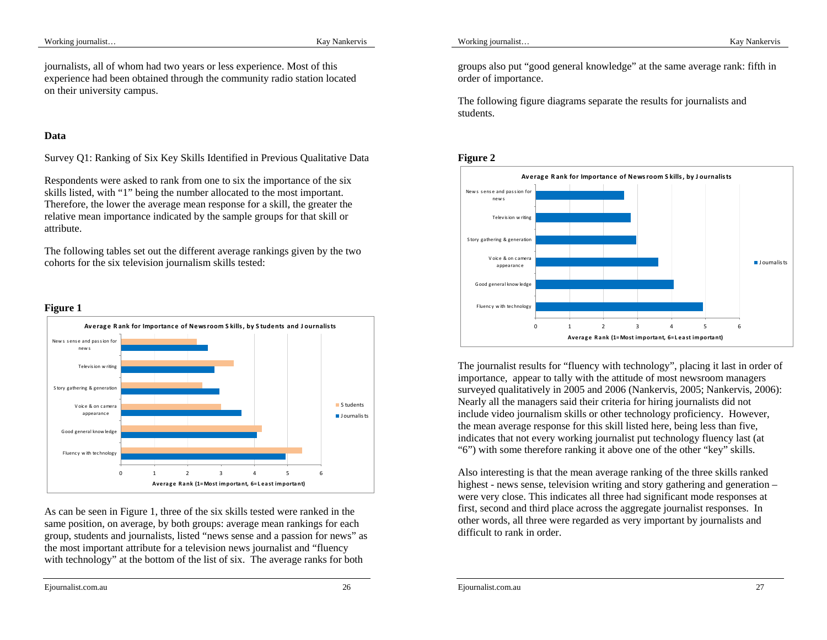journalists, all of whom had two years or less experience. Most of this experience had been obtained through the community radio station located on their university campus.

## **Data**

Survey Q1: Ranking of Six Key Skills Identified in Previous Qualitative Data

Respondents were asked to rank from one to six the importance of the six skills listed, with "1" being the number allocated to the most important. Therefore, the lower the average mean response for a skill, the greater the relative mean importance indicated by the sample groups for that skill or attribute.

The following tables set out the different average rankings given by the two cohorts for the six television journalism skills tested:

## **Figure 1**



As can be seen in Figure 1, three of the six skills tested were ranked in the same position, on average, by both groups: average mean rankings for each group, students and journalists, listed "news sense and a passion for news" as the most important attribute for a television news journalist and "fluency with technology" at the bottom of the list of six. The average ranks for both

Working journalist…

groups also put "good general knowledge" at the same average rank: fifth in order of importance.

The following figure diagrams separate the results for journalists and students.



The journalist results for "fluency with technology", placing it last in order of importance, appear to tally with the attitude of most newsroom managers surveyed qualitatively in 2005 and 2006 (Nankervis, 2005; Nankervis, 2006): Nearly all the managers said their criteria for hiring journalists did not include video journalism skills or other technology proficiency. However, the mean average response for this skill listed here, being less than five, indicates that not every working journalist put technology fluency last (at "6") with some therefore ranking it above one of the other "key" skills.

Also interesting is that the mean average ranking of the three skills ranked highest - news sense, television writing and story gathering and generation – were very close. This indicates all three had significant mode responses at first, second and third place across the aggregate journalist responses. In other words, all three were regarded as very important by journalists and difficult to rank in order.

Ejournalist.com.au 26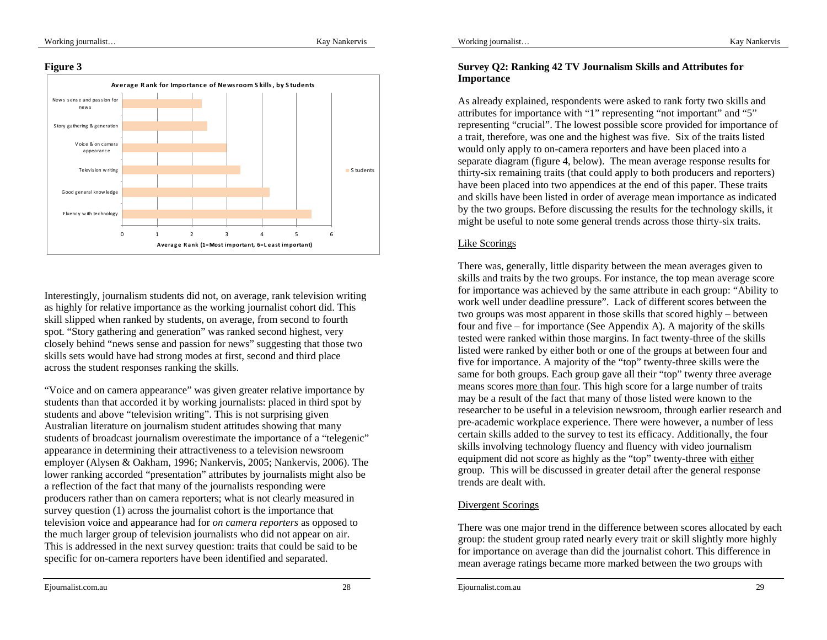## **Figure 3**



Interestingly, journalism students did not, on average, rank television writing as highly for relative importance as the working journalist cohort did. This skill slipped when ranked by students, on average, from second to fourth spot. "Story gathering and generation" was ranked second highest, very closely behind "news sense and passion for news" suggesting that those two skills sets would have had strong modes at first, second and third place across the student responses ranking the skills.

"Voice and on camera appearance" was given greater relative importance by students than that accorded it by working journalists: placed in third spot by students and above "television writing". This is not surprising given Australian literature on journalism student attitudes showing that many students of broadcast journalism overestimate the importance of a "telegenic" appearance in determining their attractiveness to a television newsroom employer (Alysen & Oakham, 1996; Nankervis, 2005; Nankervis, 2006). The lower ranking accorded "presentation" attributes by journalists might also be a reflection of the fact that many of the journalists responding were producers rather than on camera reporters; what is not clearly measured in survey question (1) across the journalist cohort is the importance that television voice and appearance had for *on camera reporters* as opposed to the much larger group of television journalists who did not appear on air. This is addressed in the next survey question: traits that could be said to be specific for on-camera reporters have been identified and separated.

# **Survey Q2: Ranking 42 TV Journalism Skills and Attributes for Importance**

As already explained, respondents were asked to rank forty two skills and attributes for importance with "1" representing "not important" and "5" representing "crucial". The lowest possible score provided for importance of a trait, therefore, was one and the highest was five. Six of the traits listed would only apply to on-camera reporters and have been placed into a separate diagram (figure 4, below). The mean average response results for thirty-six remaining traits (that could apply to both producers and reporters) have been placed into two appendices at the end of this paper. These traits and skills have been listed in order of average mean importance as indicated by the two groups. Before discussing the results for the technology skills, it might be useful to note some general trends across those thirty-six traits.

## Like Scorings

There was, generally, little disparity between the mean averages given to skills and traits by the two groups. For instance, the top mean average score for importance was achieved by the same attribute in each group: "Ability to work well under deadline pressure". Lack of different scores between the two groups was most apparent in those skills that scored highly – between four and five – for importance (See Appendix A). A majority of the skills tested were ranked within those margins. In fact twenty-three of the skills listed were ranked by either both or one of the groups at between four and five for importance. A majority of the "top" twenty-three skills were the same for both groups. Each group gave all their "top" twenty three average means scores more than four. This high score for a large number of traits may be a result of the fact that many of those listed were known to the researcher to be useful in a television newsroom, through earlier research and pre-academic workplace experience. There were however, a number of less certain skills added to the survey to test its efficacy. Additionally, the four skills involving technology fluency and fluency with video journalism equipment did not score as highly as the "top" twenty-three with either group. This will be discussed in greater detail after the general response trends are dealt with.

## Divergent Scorings

There was one major trend in the difference between scores allocated by each group: the student group rated nearly every trait or skill slightly more highly for importance on average than did the journalist cohort. This difference in mean average ratings became more marked between the two groups with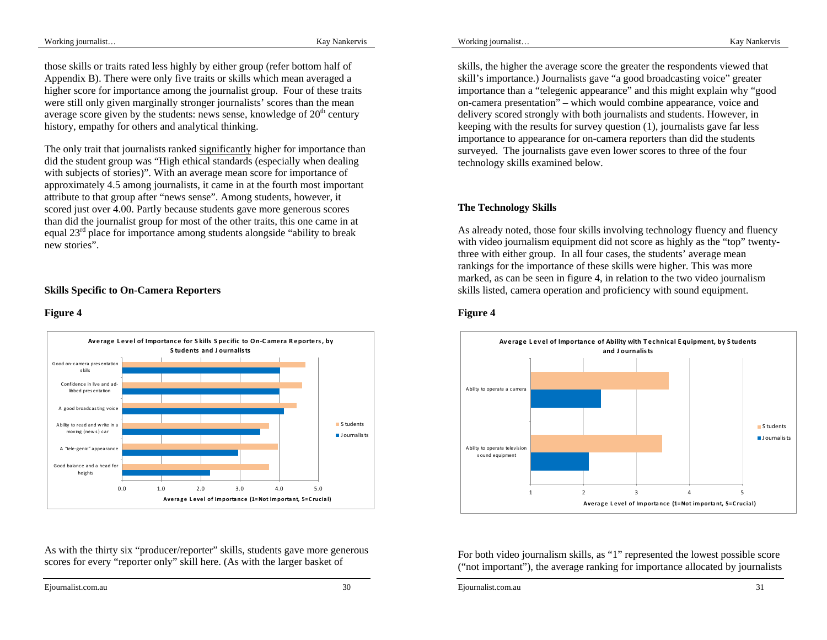those skills or traits rated less highly by either group (refer bottom half of Appendix B). There were only five traits or skills which mean averaged a higher score for importance among the journalist group. Four of these traits were still only given marginally stronger journalists' scores than the mean average score given by the students: news sense, knowledge of  $20<sup>th</sup>$  century history, empathy for others and analytical thinking.

The only trait that journalists ranked significantly higher for importance than did the student group was "High ethical standards (especially when dealing with subjects of stories)". With an average mean score for importance of approximately 4.5 among journalists, it came in at the fourth most important attribute to that group after "news sense". Among students, however, it scored just over 4.00. Partly because students gave more generous scores than did the journalist group for most of the other traits, this one came in at equal 23<sup>rd</sup> place for importance among students alongside "ability to break" new stories".

## **Skills Specific to On-Camera Reporters**

#### **Figure 4**



As with the thirty six "producer/reporter" skills, students gave more generous scores for every "reporter only" skill here. (As with the larger basket of

skills, the higher the average score the greater the respondents viewed that skill's importance.) Journalists gave "a good broadcasting voice" greater importance than a "telegenic appearance" and this might explain why "good on-camera presentation" – which would combine appearance, voice and delivery scored strongly with both journalists and students. However, in keeping with the results for survey question (1), journalists gave far less importance to appearance for on-camera reporters than did the students surveyed. The journalists gave even lower scores to three of the four technology skills examined below.

### **The Technology Skills**

As already noted, those four skills involving technology fluency and fluency with video journalism equipment did not score as highly as the "top" twentythree with either group. In all four cases, the students' average mean rankings for the importance of these skills were higher. This was more marked, as can be seen in figure 4, in relation to the two video journalism skills listed, camera operation and proficiency with sound equipment.

## **Figure 4**



For both video journalism skills, as "1" represented the lowest possible score ("not important"), the average ranking for importance allocated by journalists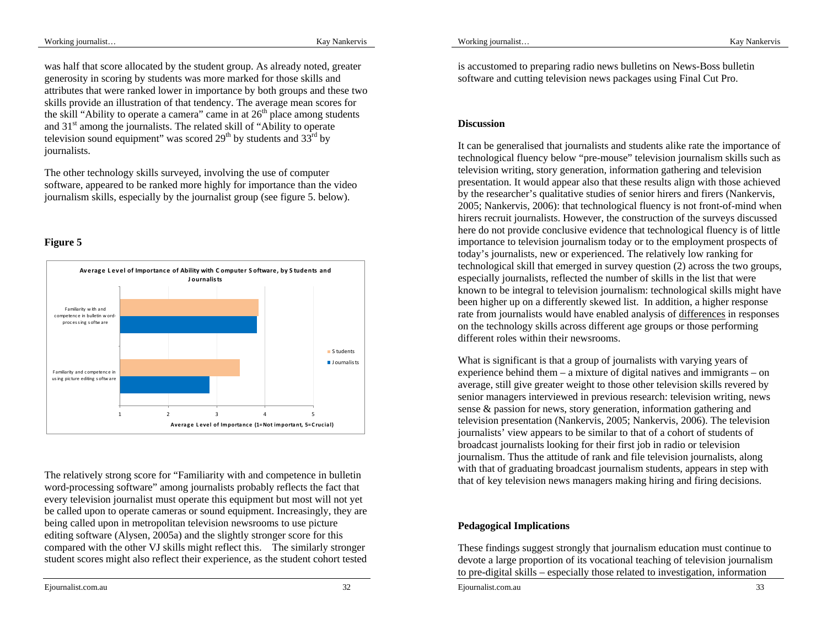was half that score allocated by the student group. As already noted, greater generosity in scoring by students was more marked for those skills and attributes that were ranked lower in importance by both groups and these two skills provide an illustration of that tendency. The average mean scores for the skill "Ability to operate a camera" came in at  $26<sup>th</sup>$  place among students and 31<sup>st</sup> among the journalists. The related skill of "Ability to operate" television sound equipment" was scored  $29<sup>th</sup>$  by students and  $33<sup>rd</sup>$  by journalists.

The other technology skills surveyed, involving the use of computer software, appeared to be ranked more highly for importance than the video journalism skills, especially by the journalist group (see figure 5. below).

# **Figure 5**



The relatively strong score for "Familiarity with and competence in bulletin word-processing software" among journalists probably reflects the fact that every television journalist must operate this equipment but most will not yet be called upon to operate cameras or sound equipment. Increasingly, they are being called upon in metropolitan television newsrooms to use picture editing software (Alysen, 2005a) and the slightly stronger score for this compared with the other VJ skills might reflect this. The similarly stronger student scores might also reflect their experience, as the student cohort tested

Ejournalist.com.au 32

is accustomed to preparing radio news bulletins on News-Boss bulletin software and cutting television news packages using Final Cut Pro.

## **Discussion**

It can be generalised that journalists and students alike rate the importance of technological fluency below "pre-mouse" television journalism skills such as television writing, story generation, information gathering and television presentation. It would appear also that these results align with those achieved by the researcher's qualitative studies of senior hirers and firers (Nankervis, 2005; Nankervis, 2006): that technological fluency is not front-of-mind when hirers recruit journalists. However, the construction of the surveys discussed here do not provide conclusive evidence that technological fluency is of little importance to television journalism today or to the employment prospects of today's journalists, new or experienced. The relatively low ranking for technological skill that emerged in survey question (2) across the two groups, especially journalists, reflected the number of skills in the list that were known to be integral to television journalism: technological skills might have been higher up on a differently skewed list. In addition, a higher response rate from journalists would have enabled analysis of differences in responses on the technology skills across different age groups or those performing different roles within their newsrooms.

What is significant is that a group of journalists with varying years of experience behind them – a mixture of digital natives and immigrants – on average, still give greater weight to those other television skills revered by senior managers interviewed in previous research: television writing, news sense & passion for news, story generation, information gathering and television presentation (Nankervis, 2005; Nankervis, 2006). The television journalists' view appears to be similar to that of a cohort of students of broadcast journalists looking for their first job in radio or television journalism. Thus the attitude of rank and file television journalists, along with that of graduating broadcast journalism students, appears in step with that of key television news managers making hiring and firing decisions.

# **Pedagogical Implications**

These findings suggest strongly that journalism education must continue to devote a large proportion of its vocational teaching of television journalism to pre-digital skills – especially those related to investigation, information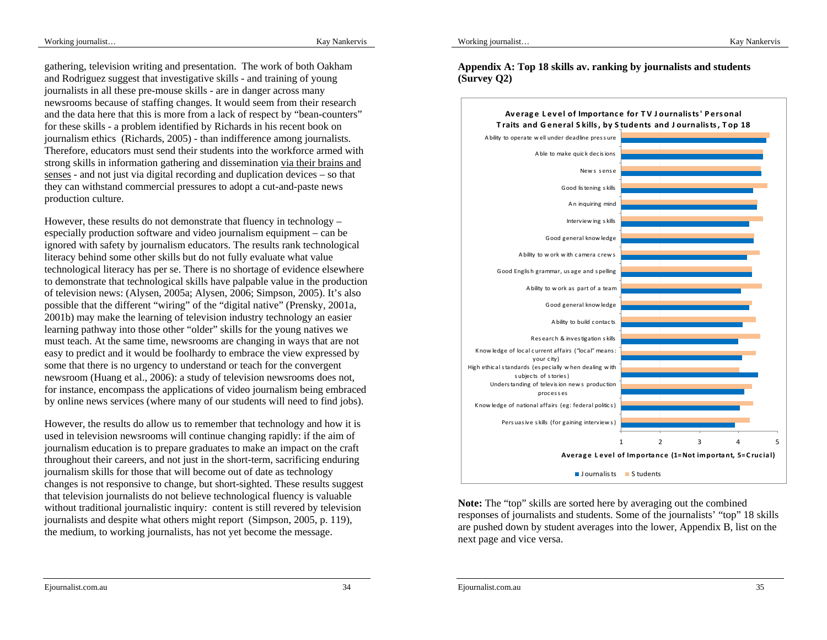Working journalist…

gathering, television writing and presentation. The work of both Oakham and Rodriguez suggest that investigative skills - and training of young journalists in all these pre-mouse skills - are in danger across many newsrooms because of staffing changes. It would seem from their research and the data here that this is more from a lack of respect by "bean-counters" for these skills - a problem identified by Richards in his recent book on journalism ethics (Richards, 2005) - than indifference among journalists. Therefore, educators must send their students into the workforce armed with strong skills in information gathering and dissemination via their brains and senses - and not just via digital recording and duplication devices – so that they can withstand commercial pressures to adopt a cut-and-paste news production culture.

However, these results do not demonstrate that fluency in technology – especially production software and video journalism equipment – can be ignored with safety by journalism educators. The results rank technological literacy behind some other skills but do not fully evaluate what value technological literacy has per se. There is no shortage of evidence elsewhere to demonstrate that technological skills have palpable value in the production of television news: (Alysen, 2005a; Alysen, 2006; Simpson, 2005). It's also possible that the different "wiring" of the "digital native" (Prensky, 2001a, 2001b) may make the learning of television industry technology an easier learning pathway into those other "older" skills for the young natives we must teach. At the same time, newsrooms are changing in ways that are not easy to predict and it would be foolhardy to embrace the view expressed by some that there is no urgency to understand or teach for the convergent newsroom (Huang et al., 2006): a study of television newsrooms does not, for instance, encompass the applications of video journalism being embraced by online news services (where many of our students will need to find jobs).

However, the results do allow us to remember that technology and how it is used in television newsrooms will continue changing rapidly: if the aim of journalism education is to prepare graduates to make an impact on the craft throughout their careers, and not just in the short-term, sacrificing enduring journalism skills for those that will become out of date as technology changes is not responsive to change, but short-sighted. These results suggest that television journalists do not believe technological fluency is valuable without traditional journalistic inquiry: content is still revered by television journalists and despite what others might report (Simpson, 2005, p. 119), the medium, to working journalists, has not yet become the message.

**Appendix A: Top 18 skills av. ranking by journalists and students (Survey Q2)** 



**Note:** The "top" skills are sorted here by averaging out the combined responses of journalists and students. Some of the journalists' "top" 18 skills are pushed down by student averages into the lower, Appendix B, list on the next page and vice versa.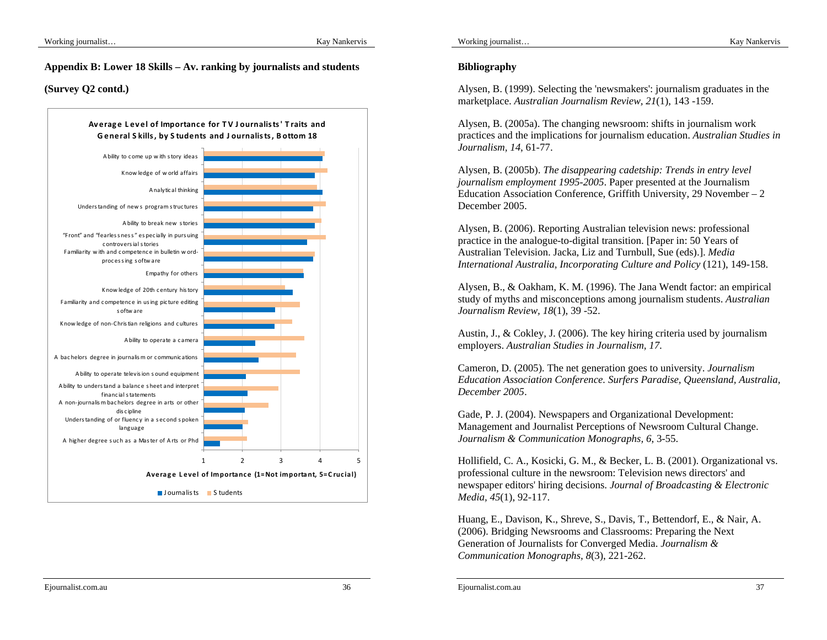#### **Appendix B: Lower 18 Skills – Av. ranking by journalists and students**

### **(Survey Q2 contd.)**



# **Bibliography**

Alysen, B. (1999). Selecting the 'newsmakers': journalism graduates in the marketplace. *Australian Journalism Review, 21*(1), 143 -159.

Alysen, B. (2005a). The changing newsroom: shifts in journalism work practices and the implications for journalism education. *Australian Studies in Journalism, 14*, 61-77.

Alysen, B. (2005b). *The disappearing cadetship: Trends in entry level journalism employment 1995-2005*. Paper presented at the Journalism Education Association Conference, Griffith University, 29 November – 2 December 2005.

Alysen, B. (2006). Reporting Australian television news: professional practice in the analogue-to-digital transition. [Paper in: 50 Years of Australian Television. Jacka, Liz and Turnbull, Sue (eds).]. *Media International Australia, Incorporating Culture and Policy* (121), 149-158.

Alysen, B., & Oakham, K. M. (1996). The Jana Wendt factor: an empirical study of myths and misconceptions among journalism students. *Australian Journalism Review, 18*(1), 39 -52.

Austin, J., & Cokley, J. (2006). The key hiring criteria used by journalism employers. *Australian Studies in Journalism, 17*.

Cameron, D. (2005). The net generation goes to university. *Journalism Education Association Conference. Surfers Paradise, Queensland, Australia, December 2005*.

Gade, P. J. (2004). Newspapers and Organizational Development: Management and Journalist Perceptions of Newsroom Cultural Change. *Journalism & Communication Monographs, 6*, 3-55.

Hollifield, C. A., Kosicki, G. M., & Becker, L. B. (2001). Organizational vs. professional culture in the newsroom: Television news directors' and newspaper editors' hiring decisions. *Journal of Broadcasting & Electronic Media, 45*(1), 92-117.

Huang, E., Davison, K., Shreve, S., Davis, T., Bettendorf, E., & Nair, A. (2006). Bridging Newsrooms and Classrooms: Preparing the Next Generation of Journalists for Converged Media. *Journalism & Communication Monographs, 8*(3), 221-262.